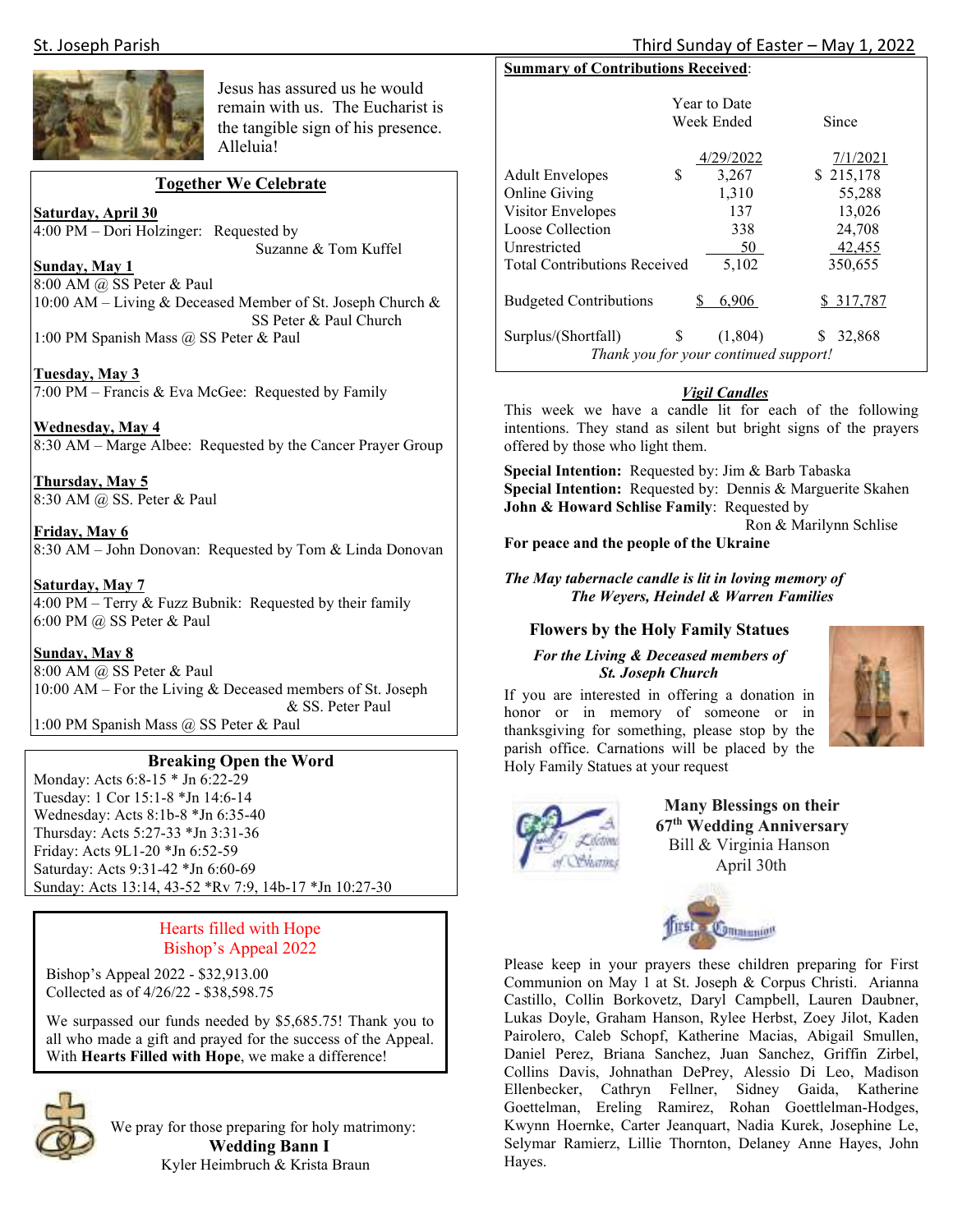

Jesus has assured us he would remain with us. The Eucharist is the tangible sign of his presence. Alleluia!

# **Together We Celebrate**

**Saturday, April 30** 

4:00 PM – Dori Holzinger: Requested by Suzanne & Tom Kuffel

**Sunday, May 1** 

8:00 AM @ SS Peter & Paul 10:00 AM – Living & Deceased Member of St. Joseph Church & SS Peter & Paul Church 1:00 PM Spanish Mass @ SS Peter & Paul

**Tuesday, May 3**  7:00 PM – Francis & Eva McGee: Requested by Family

**Wednesday, May 4**  8:30 AM – Marge Albee: Requested by the Cancer Prayer Group

**Thursday, May 5**  8:30 AM @ SS. Peter & Paul

**Friday, May 6**  8:30 AM – John Donovan: Requested by Tom & Linda Donovan

**Saturday, May 7**   $\overline{4:00 \text{ PM} - \text{Term}}$  & Fuzz Bubnik: Requested by their family 6:00 PM @ SS Peter & Paul

#### **Sunday, May 8**

8:00 AM @ SS Peter & Paul 10:00 AM – For the Living & Deceased members of St. Joseph & SS. Peter Paul

1:00 PM Spanish Mass @ SS Peter & Paul

# **Breaking Open the Word**

Monday: Acts 6:8-15 \* Jn 6:22-29 Tuesday: 1 Cor 15:1-8 \*Jn 14:6-14 Wednesday: Acts 8:1b-8 \*Jn 6:35-40 Thursday: Acts 5:27-33 \*Jn 3:31-36 Friday: Acts 9L1-20 \*Jn 6:52-59 Saturday: Acts 9:31-42 \*Jn 6:60-69 Sunday: Acts 13:14, 43-52 \*Rv 7:9, 14b-17 \*Jn 10:27-30

# Hearts filled with Hope Bishop's Appeal 2022

Bishop's Appeal 2022 - \$32,913.00 Collected as of 4/26/22 - \$38,598.75

We surpassed our funds needed by \$5,685.75! Thank you to all who made a gift and prayed for the success of the Appeal. With **Hearts Filled with Hope**, we make a difference!



We pray for those preparing for holy matrimony:  **Wedding Bann I**  Kyler Heimbruch & Krista Braun

# **Summary of Contributions Received**:

|                                     | <b>Year to Date</b><br>Week Ended                | Since                 |  |
|-------------------------------------|--------------------------------------------------|-----------------------|--|
| \$<br><b>Adult Envelopes</b>        | 4/29/2022<br>3,267                               | 7/1/2021<br>\$215,178 |  |
| Online Giving                       | 1,310                                            | 55,288                |  |
| Visitor Envelopes                   | 137                                              | 13,026                |  |
| Loose Collection                    | 338                                              | 24,708                |  |
| Unrestricted                        | 50                                               | 42,455                |  |
| <b>Total Contributions Received</b> | 5.102                                            | 350,655               |  |
| <b>Budgeted Contributions</b>       | 6,906<br>S                                       | \$ 317,787            |  |
| \$<br>Surplus/(Shortfall)           | (1,804)<br>Thank you for your continued support! | 32,868<br>S           |  |

# *Vigil Candles*

This week we have a candle lit for each of the following intentions. They stand as silent but bright signs of the prayers offered by those who light them.

**Special Intention:** Requested by: Jim & Barb Tabaska **Special Intention:** Requested by: Dennis & Marguerite Skahen **John & Howard Schlise Family**: Requested by

Ron & Marilynn Schlise

**For peace and the people of the Ukraine** 

*The May tabernacle candle is lit in loving memory of The Weyers, Heindel & Warren Families* 

# **Flowers by the Holy Family Statues**

#### *For the Living & Deceased members of St. Joseph Church*

If you are interested in offering a donation in honor or in memory of someone or in thanksgiving for something, please stop by the parish office. Carnations will be placed by the Holy Family Statues at your request



 **Many Blessings on their 67th Wedding Anniversary** Bill & Virginia Hanson April 30th



Please keep in your prayers these children preparing for First Communion on May 1 at St. Joseph & Corpus Christi. Arianna Castillo, Collin Borkovetz, Daryl Campbell, Lauren Daubner, Lukas Doyle, Graham Hanson, Rylee Herbst, Zoey Jilot, Kaden Pairolero, Caleb Schopf, Katherine Macias, Abigail Smullen, Daniel Perez, Briana Sanchez, Juan Sanchez, Griffin Zirbel, Collins Davis, Johnathan DePrey, Alessio Di Leo, Madison Ellenbecker, Cathryn Fellner, Sidney Gaida, Katherine Goettelman, Ereling Ramirez, Rohan Goettlelman-Hodges, Kwynn Hoernke, Carter Jeanquart, Nadia Kurek, Josephine Le, Selymar Ramierz, Lillie Thornton, Delaney Anne Hayes, John Hayes.

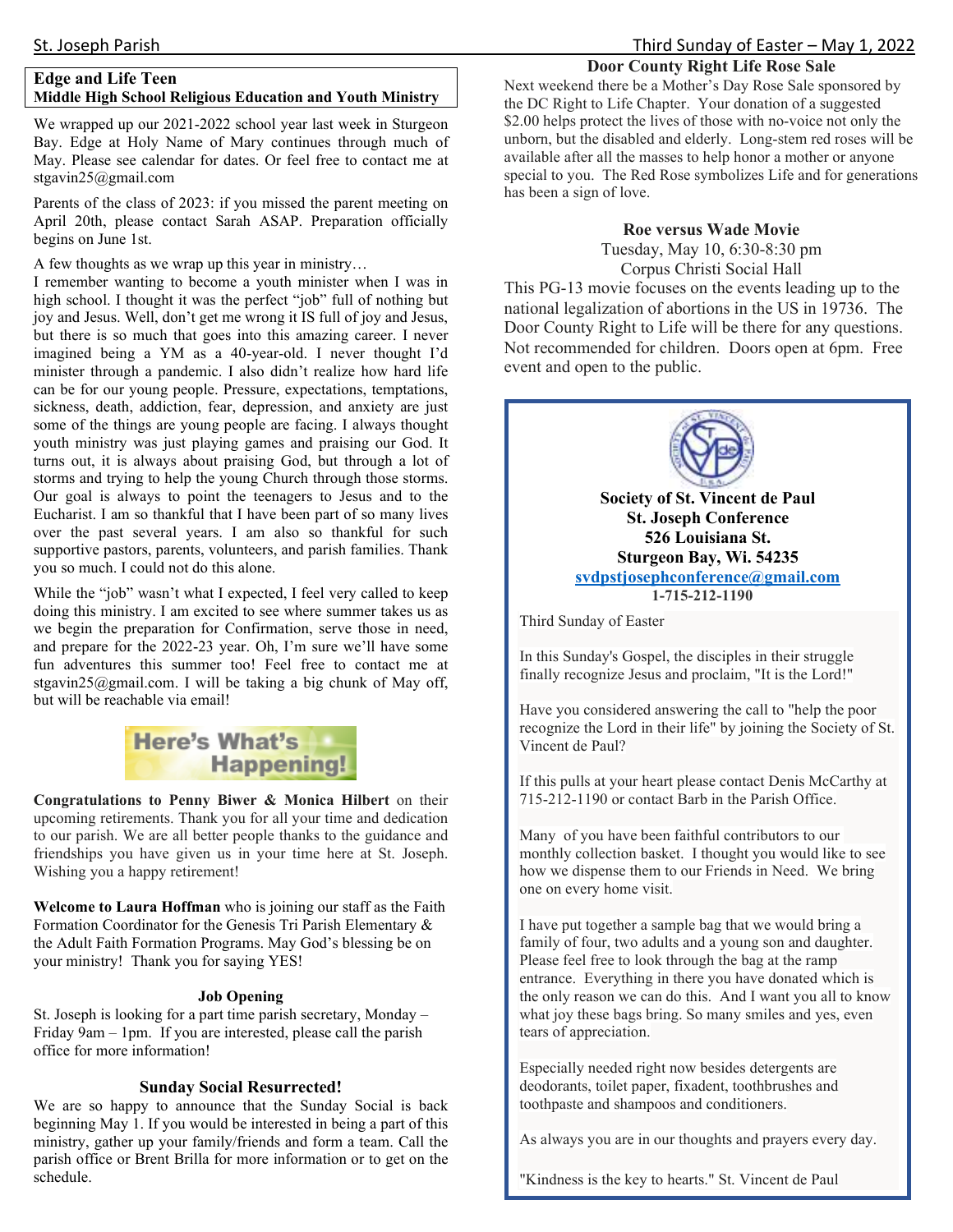#### St. Joseph Parish Third Sunday of Easter – May 1, 2022

#### **Door County Right Life Rose Sale**

# **Edge and Life Teen Middle High School Religious Education and Youth Ministry**

We wrapped up our 2021-2022 school year last week in Sturgeon Bay. Edge at Holy Name of Mary continues through much of May. Please see calendar for dates. Or feel free to contact me at stgavin25@gmail.com

Parents of the class of 2023: if you missed the parent meeting on April 20th, please contact Sarah ASAP. Preparation officially begins on June 1st.

A few thoughts as we wrap up this year in ministry…

I remember wanting to become a youth minister when I was in high school. I thought it was the perfect "job" full of nothing but joy and Jesus. Well, don't get me wrong it IS full of joy and Jesus, but there is so much that goes into this amazing career. I never imagined being a YM as a 40-year-old. I never thought I'd minister through a pandemic. I also didn't realize how hard life can be for our young people. Pressure, expectations, temptations, sickness, death, addiction, fear, depression, and anxiety are just some of the things are young people are facing. I always thought youth ministry was just playing games and praising our God. It turns out, it is always about praising God, but through a lot of storms and trying to help the young Church through those storms. Our goal is always to point the teenagers to Jesus and to the Eucharist. I am so thankful that I have been part of so many lives over the past several years. I am also so thankful for such supportive pastors, parents, volunteers, and parish families. Thank you so much. I could not do this alone.

While the "job" wasn't what I expected, I feel very called to keep doing this ministry. I am excited to see where summer takes us as we begin the preparation for Confirmation, serve those in need, and prepare for the 2022-23 year. Oh, I'm sure we'll have some fun adventures this summer too! Feel free to contact me at stgavin25@gmail.com. I will be taking a big chunk of May off, but will be reachable via email!



**Congratulations to Penny Biwer & Monica Hilbert** on their upcoming retirements. Thank you for all your time and dedication to our parish. We are all better people thanks to the guidance and friendships you have given us in your time here at St. Joseph. Wishing you a happy retirement!

**Welcome to Laura Hoffman** who is joining our staff as the Faith Formation Coordinator for the Genesis Tri Parish Elementary & the Adult Faith Formation Programs. May God's blessing be on your ministry! Thank you for saying YES!

#### **Job Opening**

St. Joseph is looking for a part time parish secretary, Monday – Friday 9am – 1pm. If you are interested, please call the parish office for more information!

#### **Sunday Social Resurrected!**

We are so happy to announce that the Sunday Social is back beginning May 1. If you would be interested in being a part of this ministry, gather up your family/friends and form a team. Call the parish office or Brent Brilla for more information or to get on the schedule.

Next weekend there be a Mother's Day Rose Sale sponsored by the DC Right to Life Chapter. Your donation of a suggested \$2.00 helps protect the lives of those with no-voice not only the unborn, but the disabled and elderly. Long-stem red roses will be available after all the masses to help honor a mother or anyone special to you. The Red Rose symbolizes Life and for generations has been a sign of love.

# **Roe versus Wade Movie**

Tuesday, May 10, 6:30-8:30 pm Corpus Christi Social Hall

This PG-13 movie focuses on the events leading up to the national legalization of abortions in the US in 19736. The Door County Right to Life will be there for any questions. Not recommended for children. Doors open at 6pm. Free event and open to the public.



**Society of St. Vincent de Paul St. Joseph Conference 526 Louisiana St. Sturgeon Bay, Wi. 54235 svdpstjosephconference@gmail.com 1-715-212-1190**

Third Sunday of Easter

In this Sunday's Gospel, the disciples in their struggle finally recognize Jesus and proclaim, "It is the Lord!"

Have you considered answering the call to "help the poor recognize the Lord in their life" by joining the Society of St. Vincent de Paul?

If this pulls at your heart please contact Denis McCarthy at 715-212-1190 or contact Barb in the Parish Office.

Many of you have been faithful contributors to our monthly collection basket. I thought you would like to see how we dispense them to our Friends in Need. We bring one on every home visit.

I have put together a sample bag that we would bring a family of four, two adults and a young son and daughter. Please feel free to look through the bag at the ramp entrance. Everything in there you have donated which is the only reason we can do this. And I want you all to know what joy these bags bring. So many smiles and yes, even tears of appreciation.

Especially needed right now besides detergents are deodorants, toilet paper, fixadent, toothbrushes and toothpaste and shampoos and conditioners.

As always you are in our thoughts and prayers every day.

"Kindness is the key to hearts." St. Vincent de Paul